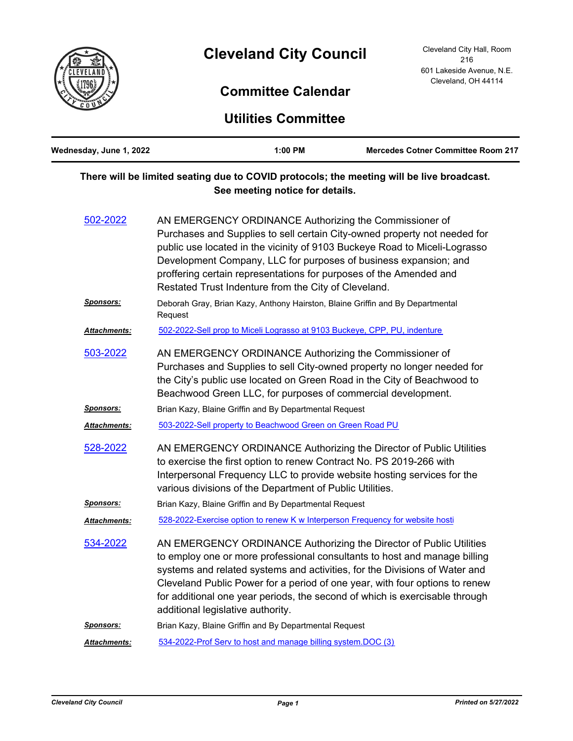

## **Cleveland City Council**

## **Committee Calendar**

**Utilities Committee**

| Wednesday, June 1, 2022 |                                                                                                                                                                                                                                                                                                                                                                                                                     | 1:00 PM                                                      | <b>Mercedes Cotner Committee Room 217</b>                                                                                                                                                                                                                                                                                                                                                    |
|-------------------------|---------------------------------------------------------------------------------------------------------------------------------------------------------------------------------------------------------------------------------------------------------------------------------------------------------------------------------------------------------------------------------------------------------------------|--------------------------------------------------------------|----------------------------------------------------------------------------------------------------------------------------------------------------------------------------------------------------------------------------------------------------------------------------------------------------------------------------------------------------------------------------------------------|
|                         |                                                                                                                                                                                                                                                                                                                                                                                                                     | See meeting notice for details.                              | There will be limited seating due to COVID protocols; the meeting will be live broadcast.                                                                                                                                                                                                                                                                                                    |
| 502-2022                | AN EMERGENCY ORDINANCE Authorizing the Commissioner of<br>Purchases and Supplies to sell certain City-owned property not needed for<br>public use located in the vicinity of 9103 Buckeye Road to Miceli-Lograsso<br>Development Company, LLC for purposes of business expansion; and<br>proffering certain representations for purposes of the Amended and<br>Restated Trust Indenture from the City of Cleveland. |                                                              |                                                                                                                                                                                                                                                                                                                                                                                              |
| <u>Sponsors:</u>        | Deborah Gray, Brian Kazy, Anthony Hairston, Blaine Griffin and By Departmental<br>Request                                                                                                                                                                                                                                                                                                                           |                                                              |                                                                                                                                                                                                                                                                                                                                                                                              |
| Attachments:            |                                                                                                                                                                                                                                                                                                                                                                                                                     |                                                              | 502-2022-Sell prop to Miceli Lograsso at 9103 Buckeye, CPP, PU, indenture                                                                                                                                                                                                                                                                                                                    |
| 503-2022                | AN EMERGENCY ORDINANCE Authorizing the Commissioner of<br>Purchases and Supplies to sell City-owned property no longer needed for<br>the City's public use located on Green Road in the City of Beachwood to<br>Beachwood Green LLC, for purposes of commercial development.                                                                                                                                        |                                                              |                                                                                                                                                                                                                                                                                                                                                                                              |
| Sponsors:               | Brian Kazy, Blaine Griffin and By Departmental Request                                                                                                                                                                                                                                                                                                                                                              |                                                              |                                                                                                                                                                                                                                                                                                                                                                                              |
| Attachments:            |                                                                                                                                                                                                                                                                                                                                                                                                                     | 503-2022-Sell property to Beachwood Green on Green Road PU   |                                                                                                                                                                                                                                                                                                                                                                                              |
| 528-2022                |                                                                                                                                                                                                                                                                                                                                                                                                                     | various divisions of the Department of Public Utilities.     | AN EMERGENCY ORDINANCE Authorizing the Director of Public Utilities<br>to exercise the first option to renew Contract No. PS 2019-266 with<br>Interpersonal Frequency LLC to provide website hosting services for the                                                                                                                                                                        |
| Sponsors:               |                                                                                                                                                                                                                                                                                                                                                                                                                     | Brian Kazy, Blaine Griffin and By Departmental Request       |                                                                                                                                                                                                                                                                                                                                                                                              |
| Attachments:            |                                                                                                                                                                                                                                                                                                                                                                                                                     |                                                              | 528-2022-Exercise option to renew K w Interperson Frequency for website hosti                                                                                                                                                                                                                                                                                                                |
| 534-2022                | additional legislative authority.                                                                                                                                                                                                                                                                                                                                                                                   |                                                              | AN EMERGENCY ORDINANCE Authorizing the Director of Public Utilities<br>to employ one or more professional consultants to host and manage billing<br>systems and related systems and activities, for the Divisions of Water and<br>Cleveland Public Power for a period of one year, with four options to renew<br>for additional one year periods, the second of which is exercisable through |
| <b>Sponsors:</b>        |                                                                                                                                                                                                                                                                                                                                                                                                                     | Brian Kazy, Blaine Griffin and By Departmental Request       |                                                                                                                                                                                                                                                                                                                                                                                              |
| Attachments:            |                                                                                                                                                                                                                                                                                                                                                                                                                     | 534-2022-Prof Serv to host and manage billing system.DOC (3) |                                                                                                                                                                                                                                                                                                                                                                                              |